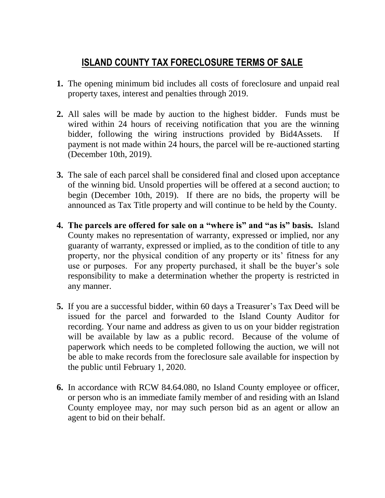## **ISLAND COUNTY TAX FORECLOSURE TERMS OF SALE**

- **1.** The opening minimum bid includes all costs of foreclosure and unpaid real property taxes, interest and penalties through 2019.
- **2.** All sales will be made by auction to the highest bidder. Funds must be wired within 24 hours of receiving notification that you are the winning bidder, following the wiring instructions provided by Bid4Assets. If payment is not made within 24 hours, the parcel will be re-auctioned starting (December 10th, 2019).
- **3.** The sale of each parcel shall be considered final and closed upon acceptance of the winning bid. Unsold properties will be offered at a second auction; to begin (December 10th, 2019). If there are no bids, the property will be announced as Tax Title property and will continue to be held by the County.
- **4. The parcels are offered for sale on a "where is" and "as is" basis.** Island County makes no representation of warranty, expressed or implied, nor any guaranty of warranty, expressed or implied, as to the condition of title to any property, nor the physical condition of any property or its' fitness for any use or purposes. For any property purchased, it shall be the buyer's sole responsibility to make a determination whether the property is restricted in any manner.
- **5.** If you are a successful bidder, within 60 days a Treasurer's Tax Deed will be issued for the parcel and forwarded to the Island County Auditor for recording. Your name and address as given to us on your bidder registration will be available by law as a public record. Because of the volume of paperwork which needs to be completed following the auction, we will not be able to make records from the foreclosure sale available for inspection by the public until February 1, 2020.
- **6.** In accordance with RCW 84.64.080, no Island County employee or officer, or person who is an immediate family member of and residing with an Island County employee may, nor may such person bid as an agent or allow an agent to bid on their behalf.